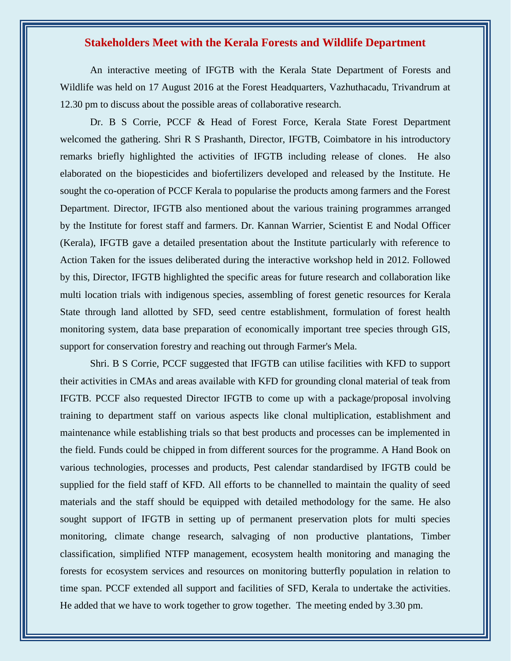## **Stakeholders Meet with the Kerala Forests and Wildlife Department**

An interactive meeting of IFGTB with the Kerala State Department of Forests and Wildlife was held on 17 August 2016 at the Forest Headquarters, Vazhuthacadu, Trivandrum at 12.30 pm to discuss about the possible areas of collaborative research.

Dr. B S Corrie, PCCF & Head of Forest Force, Kerala State Forest Department welcomed the gathering. Shri R S Prashanth, Director, IFGTB, Coimbatore in his introductory remarks briefly highlighted the activities of IFGTB including release of clones. He also elaborated on the biopesticides and biofertilizers developed and released by the Institute. He sought the co-operation of PCCF Kerala to popularise the products among farmers and the Forest Department. Director, IFGTB also mentioned about the various training programmes arranged by the Institute for forest staff and farmers. Dr. Kannan Warrier, Scientist E and Nodal Officer (Kerala), IFGTB gave a detailed presentation about the Institute particularly with reference to Action Taken for the issues deliberated during the interactive workshop held in 2012. Followed by this, Director, IFGTB highlighted the specific areas for future research and collaboration like multi location trials with indigenous species, assembling of forest genetic resources for Kerala State through land allotted by SFD, seed centre establishment, formulation of forest health monitoring system, data base preparation of economically important tree species through GIS, support for conservation forestry and reaching out through Farmer's Mela.

Shri. B S Corrie, PCCF suggested that IFGTB can utilise facilities with KFD to support their activities in CMAs and areas available with KFD for grounding clonal material of teak from IFGTB. PCCF also requested Director IFGTB to come up with a package/proposal involving training to department staff on various aspects like clonal multiplication, establishment and maintenance while establishing trials so that best products and processes can be implemented in the field. Funds could be chipped in from different sources for the programme. A Hand Book on various technologies, processes and products, Pest calendar standardised by IFGTB could be supplied for the field staff of KFD. All efforts to be channelled to maintain the quality of seed materials and the staff should be equipped with detailed methodology for the same. He also sought support of IFGTB in setting up of permanent preservation plots for multi species monitoring, climate change research, salvaging of non productive plantations, Timber classification, simplified NTFP management, ecosystem health monitoring and managing the forests for ecosystem services and resources on monitoring butterfly population in relation to time span. PCCF extended all support and facilities of SFD, Kerala to undertake the activities. He added that we have to work together to grow together. The meeting ended by 3.30 pm.